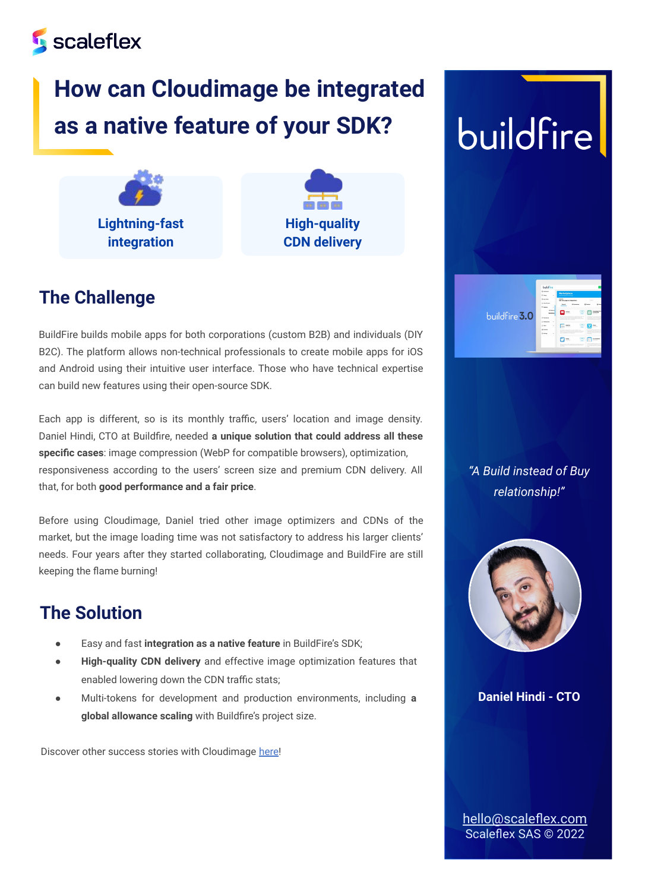### **Scaleflex**

## **How can Cloudimage be integrated as a native feature of your SDK?**





#### **The Challenge**

BuildFire builds mobile apps for both corporations (custom B2B) and individuals (DIY B2C). The platform allows non-technical professionals to create mobile apps for iOS and Android using their intuitive user interface. Those who have technical expertise can build new features using their open-source SDK.

Each app is different, so is its monthly traffic, users' location and image density. Daniel Hindi, CTO at Buildfire, needed **a unique solution that could address all these specific cases**: image compression (WebP for compatible browsers), optimization, responsiveness according to the users' screen size and premium CDN delivery. All that, for both **good performance and a fair price**.

Before using Cloudimage, Daniel tried other image optimizers and CDNs of the market, but the image loading time was not satisfactory to address his larger clients' needs. Four years after they started collaborating, Cloudimage and BuildFire are still keeping the flame burning!

#### **The Solution**

- Easy and fast integration as a native feature in BuildFire's SDK;
- **High-quality CDN delivery** and effective image optimization features that enabled lowering down the CDN traffic stats;
- Multi-tokens for development and production environments, including **a global allowance scaling** with Buildfire's project size.

Discover other success stories with Cloudimage [here!](https://blog.scaleflex.com/tag/cm-case-studies/)

## buildfire



*"A Build instead of Buy relationship!"*



**Daniel Hindi - CTO**

[hello@scaleflex.com](mailto:hello@scaleflex.com) Scaleflex SAS © 2022